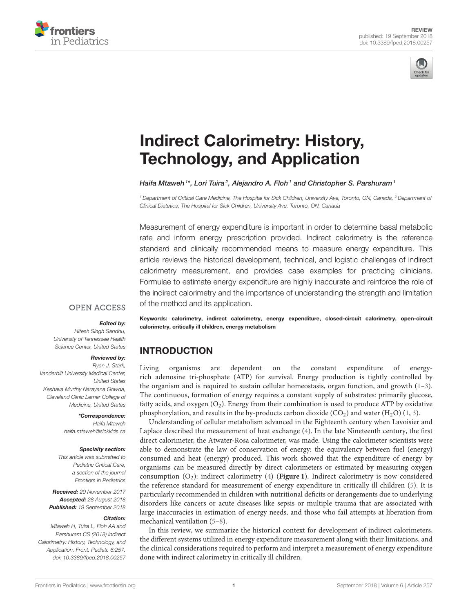



# Indirect Calorimetry: History, [Technology, and Application](https://www.frontiersin.org/articles/10.3389/fped.2018.00257/full)

[Haifa Mtaweh](http://loop.frontiersin.org/people/499390/overview)<sup>1\*</sup>, [Lori Tuira](http://loop.frontiersin.org/people/499880/overview)<sup>2</sup>, [Alejandro A. Floh](http://loop.frontiersin.org/people/420392/overview)<sup>1</sup> and Christopher S. Parshuram<sup>1</sup>

*<sup>1</sup> Department of Critical Care Medicine, The Hospital for Sick Children, University Ave, Toronto, ON, Canada, <sup>2</sup> Department of Clinical Dietetics, The Hospital for Sick Children, University Ave, Toronto, ON, Canada*

Measurement of energy expenditure is important in order to determine basal metabolic rate and inform energy prescription provided. Indirect calorimetry is the reference standard and clinically recommended means to measure energy expenditure. This article reviews the historical development, technical, and logistic challenges of indirect calorimetry measurement, and provides case examples for practicing clinicians. Formulae to estimate energy expenditure are highly inaccurate and reinforce the role of the indirect calorimetry and the importance of understanding the strength and limitation of the method and its application.

#### **OPEN ACCESS**

#### Edited by:

*Hitesh Singh Sandhu, University of Tennessee Health Science Center, United States*

#### Reviewed by:

*Ryan J. Stark, Vanderbilt University Medical Center, United States Keshava Murthy Narayana Gowda, Cleveland Clinic Lerner College of Medicine, United States*

#### \*Correspondence:

*Haifa Mtaweh [haifa.mtaweh@sickkids.ca](mailto:haifa.mtaweh@sickkids.ca)*

#### Specialty section:

*This article was submitted to Pediatric Critical Care, a section of the journal Frontiers in Pediatrics*

Received: *20 November 2017* Accepted: *28 August 2018* Published: *19 September 2018*

#### Citation:

*Mtaweh H, Tuira L, Floh AA and Parshuram CS (2018) Indirect Calorimetry: History, Technology, and Application. Front. Pediatr. 6:257. doi: [10.3389/fped.2018.00257](https://doi.org/10.3389/fped.2018.00257)* Keywords: calorimetry, indirect calorimetry, energy expenditure, closed-circuit calorimetry, open-circuit calorimetry, critically ill children, energy metabolism

## INTRODUCTION

Living organisms are dependent on the constant expenditure of energyrich adenosine tri-phosphate (ATP) for survival. Energy production is tightly controlled by the organism and is required to sustain cellular homeostasis, organ function, and growth  $(1-3)$ . The continuous, formation of energy requires a constant supply of substrates: primarily glucose, fatty acids, and oxygen  $(O_2)$ . Energy from their combination is used to produce ATP by oxidative phosphorylation, and results in the by-products carbon dioxide (CO<sub>2</sub>) and water (H<sub>2</sub>O) [\(1,](#page-6-0) [3\)](#page-6-1).

Understanding of cellular metabolism advanced in the Eighteenth century when Lavoisier and Laplace described the measurement of heat exchange [\(4\)](#page-6-2). In the late Nineteenth century, the first direct calorimeter, the Atwater-Rosa calorimeter, was made. Using the calorimeter scientists were able to demonstrate the law of conservation of energy: the equivalency between fuel (energy) consumed and heat (energy) produced. This work showed that the expenditure of energy by organisms can be measured directly by direct calorimeters or estimated by measuring oxygen consumption (O2): indirect calorimetry [\(4\)](#page-6-2) (**[Figure 1](#page-1-0)**). Indirect calorimetry is now considered the reference standard for measurement of energy expenditure in critically ill children [\(5\)](#page-6-3). It is particularly recommended in children with nutritional deficits or derangements due to underlying disorders like cancers or acute diseases like sepsis or multiple trauma that are associated with large inaccuracies in estimation of energy needs, and those who fail attempts at liberation from mechanical ventilation [\(5](#page-6-3)[–8\)](#page-6-4).

In this review, we summarize the historical context for development of indirect calorimeters, the different systems utilized in energy expenditure measurement along with their limitations, and the clinical considerations required to perform and interpret a measurement of energy expenditure done with indirect calorimetry in critically ill children.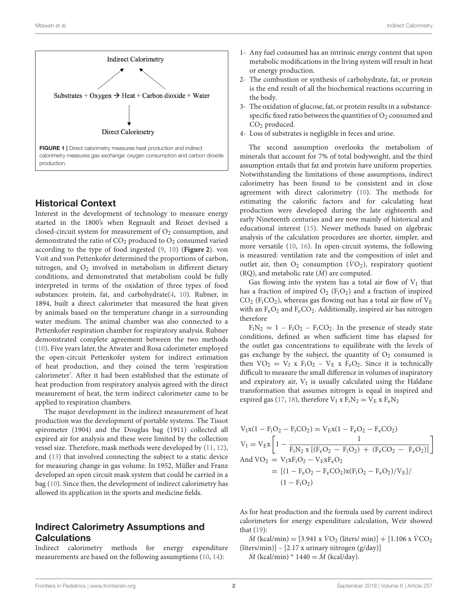

### <span id="page-1-0"></span>Historical Context

Interest in the development of technology to measure energy started in the 1800's when Regnault and Reiset devised a closed-circuit system for measurement of  $O<sub>2</sub>$  consumption, and demonstrated the ratio of  $CO<sub>2</sub>$  produced to  $O<sub>2</sub>$  consumed varied according to the type of food ingested [\(9,](#page-6-5) [10\)](#page-6-6) (**[Figure 2](#page-2-0)**). von Voit and von Pettenkofer determined the proportions of carbon, nitrogen, and  $O_2$  involved in metabolism in different dietary conditions, and demonstrated that metabolism could be fully interpreted in terms of the oxidation of three types of food substances: protein, fat, and carbohydrate[\(4,](#page-6-2) [10\)](#page-6-6). Rubner, in 1894, built a direct calorimeter that measured the heat given by animals based on the temperature change in a surrounding water medium. The animal chamber was also connected to a Pettenkofer respiration chamber for respiratory analysis. Rubner demonstrated complete agreement between the two methods [\(10\)](#page-6-6). Five years later, the Atwater and Rosa calorimeter employed the open-circuit Pettenkofer system for indirect estimation of heat production, and they coined the term 'respiration calorimeter'. After it had been established that the estimate of heat production from respiratory analysis agreed with the direct measurement of heat, the term indirect calorimeter came to be applied to respiration chambers.

The major development in the indirect measurement of heat production was the development of portable systems. The Tissot spirometer (1904) and the Douglas bag (1911) collected all expired air for analysis and these were limited by the collection vessel size. Therefore, mask methods were developed by [\(11,](#page-6-7) [12\)](#page-6-8), and [\(13\)](#page-6-9) that involved connecting the subject to a static device for measuring change in gas volume. In 1952, Müller and Franz developed an open circuit mask system that could be carried in a bag [\(10\)](#page-6-6). Since then, the development of indirect calorimetry has allowed its application in the sports and medicine fields.

## Indirect Calorimetry Assumptions and **Calculations**

Indirect calorimetry methods for energy expenditure measurements are based on the following assumptions [\(10,](#page-6-6) [14\)](#page-6-10):

- 1- Any fuel consumed has an intrinsic energy content that upon metabolic modifications in the living system will result in heat or energy production.
- 2- The combustion or synthesis of carbohydrate, fat, or protein is the end result of all the biochemical reactions occurring in the body.
- 3- The oxidation of glucose, fat, or protein results in a substancespecific fixed ratio between the quantities of  $O_2$  consumed and  $CO<sub>2</sub>$  produced.
- 4- Loss of substrates is negligible in feces and urine.

The second assumption overlooks the metabolism of minerals that account for 7% of total bodyweight, and the third assumption entails that fat and protein have uniform properties. Notwithstanding the limitations of those assumptions, indirect calorimetry has been found to be consistent and in close agreement with direct calorimetry [\(10\)](#page-6-6). The methods for estimating the calorific factors and for calculating heat production were developed during the late eighteenth and early Nineteenth centuries and are now mainly of historical and educational interest [\(15\)](#page-6-11). Newer methods based on algebraic analysis of the calculation procedures are shorter, simpler, and more versatile [\(10,](#page-6-6) [16\)](#page-6-12). In open-circuit systems, the following is measured: ventilation rate and the composition of inlet and outlet air, then  $O_2$  consumption ( $\dot{V}O_2$ ), respiratory quotient (RQ), and metabolic rate  $(M)$  are computed.

Gas flowing into the system has a total air flow of  $V_I$  that has a fraction of inspired  $O_2$  (F<sub>i</sub>O<sub>2</sub>) and a fraction of inspired  $CO<sub>2</sub>$  (F<sub>i</sub>CO<sub>2</sub>), whereas gas flowing out has a total air flow of  $V<sub>E</sub>$ with an  $F_eO_2$  and  $F_eCO_2$ . Additionally, inspired air has nitrogen therefore

 $F_iN_2 = 1 - F_iO_2 - F_iCO_2$ . In the presence of steady state conditions, defined as when sufficient time has elapsed for the outlet gas concentrations to equilibrate with the levels of gas exchange by the subject, the quantity of  $O_2$  consumed is then  $VO_2 = V_I$  x  $F_iO_2 - V_E$  x  $F_eO_2$ . Since it is technically difficult to measure the small difference in volumes of inspiratory and expiratory air,  $V_I$  is usually calculated using the Haldane transformation that assumes nitrogen is equal in inspired and expired gas [\(17,](#page-6-13) [18\)](#page-6-14), therefore  $V_I$  x  $F_I N_2 = V_E$  x  $F_e N_2$ 

$$
V_I x (1 - F_i O_2 - F_i CO_2) = V_E x (1 - F_e O_2 - F_e CO_2)
$$
  
\n
$$
V_I = V_E x \left[ 1 - \frac{1}{F_i N_2 x \left[ (F_e O_2 - F_i O_2) + (F_e CO_2 - F_e O_2) \right]} \right]
$$
  
\nAnd 
$$
VO_2 = V_I x F_i O_2 - V_E x F_e O_2
$$
  
\n
$$
= [(1 - F_e O_2 - F_e CO_2) x (F_i O_2 - F_e O_2) / V_E] / (1 - F_i O_2)
$$

As for heat production and the formula used by current indirect calorimeters for energy expenditure calculation, Weir showed that [\(19\)](#page-6-15):

 $\dot{M}$  (kcal/min) = [3.941 x  $\dot{V}O_2$  (liters/ min)] + [1.106 x  $\dot{V}CO_2$ (liters/min)] – [2.17 x urinary nitrogen (g/day)]

 $\dot{M}$  (kcal/min) \* 1440 =  $\dot{M}$  (kcal/day).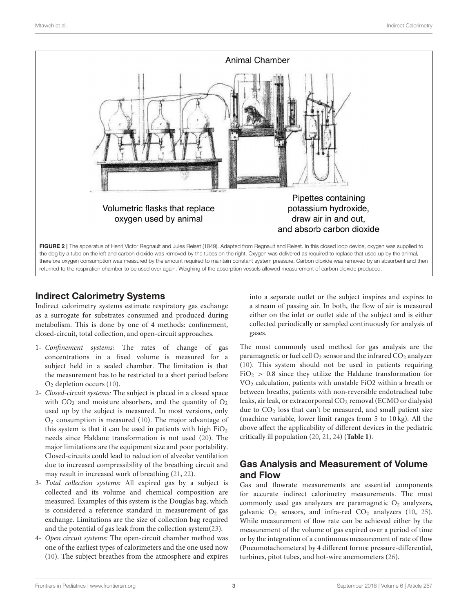

# <span id="page-2-0"></span>Indirect Calorimetry Systems

Indirect calorimetry systems estimate respiratory gas exchange as a surrogate for substrates consumed and produced during metabolism. This is done by one of 4 methods: confinement, closed-circuit, total collection, and open-circuit approaches.

- 1- Confinement systems: The rates of change of gas concentrations in a fixed volume is measured for a subject held in a sealed chamber. The limitation is that the measurement has to be restricted to a short period before  $O<sub>2</sub>$  depletion occurs [\(10\)](#page-6-6).
- 2- Closed-circuit systems: The subject is placed in a closed space with  $CO<sub>2</sub>$  and moisture absorbers, and the quantity of  $O<sub>2</sub>$ used up by the subject is measured. In most versions, only  $O<sub>2</sub>$  consumption is measured [\(10\)](#page-6-6). The major advantage of this system is that it can be used in patients with high  $FiO<sub>2</sub>$ needs since Haldane transformation is not used [\(20\)](#page-6-16). The major limitations are the equipment size and poor portability. Closed-circuits could lead to reduction of alveolar ventilation due to increased compressibility of the breathing circuit and may result in increased work of breathing [\(21,](#page-6-17) [22\)](#page-6-18).
- 3- Total collection systems: All expired gas by a subject is collected and its volume and chemical composition are measured. Examples of this system is the Douglas bag, which is considered a reference standard in measurement of gas exchange. Limitations are the size of collection bag required and the potential of gas leak from the collection system[\(23\)](#page-6-19).
- 4- Open circuit systems: The open-circuit chamber method was one of the earliest types of calorimeters and the one used now [\(10\)](#page-6-6). The subject breathes from the atmosphere and expires

into a separate outlet or the subject inspires and expires to a stream of passing air. In both, the flow of air is measured either on the inlet or outlet side of the subject and is either collected periodically or sampled continuously for analysis of gases.

The most commonly used method for gas analysis are the paramagnetic or fuel cell  $O_2$  sensor and the infrared  $CO_2$  analyzer [\(10\)](#page-6-6). This system should not be used in patients requiring  $FiO<sub>2</sub> > 0.8$  since they utilize the Haldane transformation for VO<sup>2</sup> calculation, patients with unstable FiO2 within a breath or between breaths, patients with non-reversible endotracheal tube leaks, air leak, or extracorporeal CO<sub>2</sub> removal (ECMO or dialysis) due to  $CO<sub>2</sub>$  loss that can't be measured, and small patient size (machine variable, lower limit ranges from 5 to 10 kg). All the above affect the applicability of different devices in the pediatric critically ill population [\(20,](#page-6-16) [21,](#page-6-17) [24\)](#page-6-20) (**[Table 1](#page-3-0)**).

# Gas Analysis and Measurement of Volume and Flow

Gas and flowrate measurements are essential components for accurate indirect calorimetry measurements. The most commonly used gas analyzers are paramagnetic  $O_2$  analyzers, galvanic  $O_2$  sensors, and infra-red  $CO_2$  analyzers [\(10,](#page-6-6) [25\)](#page-6-21). While measurement of flow rate can be achieved either by the measurement of the volume of gas expired over a period of time or by the integration of a continuous measurement of rate of flow (Pneumotachometers) by 4 different forms: pressure-differential, turbines, pitot tubes, and hot-wire anemometers [\(26\)](#page-6-22).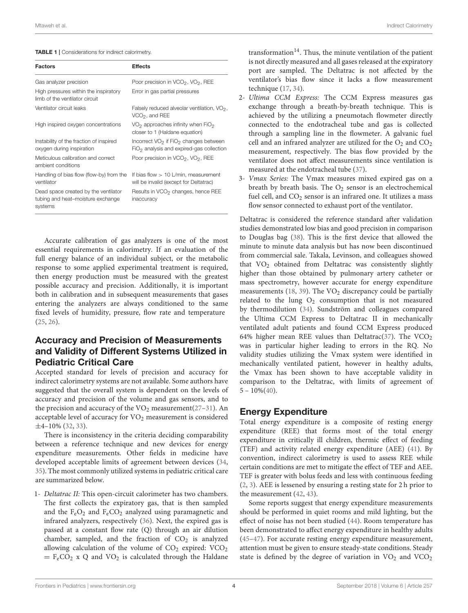#### <span id="page-3-0"></span>TABLE 1 | Considerations for indirect calorimetry.

| <b>Factors</b>                                                                       | <b>Effects</b>                                                                                              |
|--------------------------------------------------------------------------------------|-------------------------------------------------------------------------------------------------------------|
| Gas analyzer precision                                                               | Poor precision in VCO <sub>2</sub> , VO <sub>2</sub> , REE                                                  |
| High pressures within the inspiratory<br>limb of the ventilator circuit              | Error in gas partial pressures                                                                              |
| Ventilator circuit leaks                                                             | Falsely reduced alveolar ventilation, VO <sub>2</sub> ,<br>$VCO2$ , and REE                                 |
| High inspired oxygen concentrations                                                  | $VO2$ approaches infinity when FiO <sub>2</sub><br>closer to 1 (Haldane equation)                           |
| Instability of the fraction of inspired<br>oxygen during inspiration                 | Incorrect VO <sub>2</sub> if FiO <sub>2</sub> changes between<br>$FiO2$ analysis and expired-gas collection |
| Meticulous calibration and correct<br>ambient conditions                             | Poor precision in VCO <sub>2</sub> , VO <sub>2</sub> , REE                                                  |
| Handling of bias flow (flow-by) from the<br>ventilator                               | If bias flow $> 10$ L/min, measurement<br>will be invalid (except for Deltatrac)                            |
| Dead space created by the ventilator<br>tubing and heat-moisture exchange<br>systems | Results in VCO <sub>2</sub> changes, hence REE<br>inaccuracy                                                |

Accurate calibration of gas analyzers is one of the most essential requirements in calorimetry. If an evaluation of the full energy balance of an individual subject, or the metabolic response to some applied experimental treatment is required, then energy production must be measured with the greatest possible accuracy and precision. Additionally, it is important both in calibration and in subsequent measurements that gases entering the analyzers are always conditioned to the same fixed levels of humidity, pressure, flow rate and temperature [\(25,](#page-6-21) [26\)](#page-6-22).

## Accuracy and Precision of Measurements and Validity of Different Systems Utilized in Pediatric Critical Care

Accepted standard for levels of precision and accuracy for indirect calorimetry systems are not available. Some authors have suggested that the overall system is dependent on the levels of accuracy and precision of the volume and gas sensors, and to the precision and accuracy of the  $VO<sub>2</sub>$  measurement[\(27–](#page-6-23)[31\)](#page-6-24). An acceptable level of accuracy for VO<sub>2</sub> measurement is considered  $\pm$ 4–10% [\(32,](#page-6-25) [33\)](#page-6-26).

There is inconsistency in the criteria deciding comparability between a reference technique and new devices for energy expenditure measurements. Other fields in medicine have developed acceptable limits of agreement between devices [\(34,](#page-6-27) [35\)](#page-6-28). The most commonly utilized systems in pediatric critical care are summarized below.

1- Deltatrac II: This open-circuit calorimeter has two chambers. The first collects the expiratory gas, that is then sampled and the  $F_eO_2$  and  $F_eCO_2$  analyzed using paramagnetic and infrared analyzers, respectively [\(36\)](#page-6-29). Next, the expired gas is passed at a constant flow rate (Q) through an air dilution chamber, sampled, and the fraction of  $CO<sub>2</sub>$  is analyzed allowing calculation of the volume of  $CO<sub>2</sub>$  expired:  $VCO<sub>2</sub>$  $=$  F<sub>e</sub>CO<sub>2</sub> x Q and VO<sub>2</sub> is calculated through the Haldane transformation<sup>14</sup>. Thus, the minute ventilation of the patient is not directly measured and all gases released at the expiratory port are sampled. The Deltatrac is not affected by the ventilator's bias flow since it lacks a flow measurement technique [\(17,](#page-6-13) [34\)](#page-6-27).

- 2- Ultima CCM Express: The CCM Express measures gas exchange through a breath-by-breath technique. This is achieved by the utilizing a pneumotach flowmeter directly connected to the endotracheal tube and gas is collected through a sampling line in the flowmeter. A galvanic fuel cell and an infrared analyzer are utilized for the  $O_2$  and  $CO_2$ measurement, respectively. The bias flow provided by the ventilator does not affect measurements since ventilation is measured at the endotracheal tube [\(37\)](#page-6-30).
- 3- Vmax Series: The Vmax measures mixed expired gas on a breath by breath basis. The  $O_2$  sensor is an electrochemical fuel cell, and  $CO<sub>2</sub>$  sensor is an infrared one. It utilizes a mass flow sensor connected to exhaust port of the ventilator.

Deltatrac is considered the reference standard after validation studies demonstrated low bias and good precision in comparison to Douglas bag [\(38\)](#page-6-31). This is the first device that allowed the minute to minute data analysis but has now been discontinued from commercial sale. Takala, Levinson, and colleagues showed that VO<sup>2</sup> obtained from Deltatrac was consistently slightly higher than those obtained by pulmonary artery catheter or mass spectrometry, however accurate for energy expenditure measurements [\(18,](#page-6-14) [39\)](#page-6-32). The  $VO<sub>2</sub>$  discrepancy could be partially related to the lung  $O_2$  consumption that is not measured by thermodilution [\(34\)](#page-6-27). Sundström and colleagues compared the Ultima CCM Express to Deltatrac II in mechanically ventilated adult patients and found CCM Express produced 64% higher mean REE values than Deltatrac[\(37\)](#page-6-30). The  $VCO<sub>2</sub>$ was in particular higher leading to errors in the RQ. No validity studies utilizing the Vmax system were identified in mechanically ventilated patient, however in healthy adults, the Vmax has been shown to have acceptable validity in comparison to the Deltatrac, with limits of agreement of  $5 - 10\%(40)$  $5 - 10\%(40)$ .

## Energy Expenditure

Total energy expenditure is a composite of resting energy expenditure (REE) that forms most of the total energy expenditure in critically ill children, thermic effect of feeding (TEF) and activity related energy expenditure (AEE) [\(41\)](#page-6-34). By convention, indirect calorimetry is used to assess REE while certain conditions are met to mitigate the effect of TEF and AEE. TEF is greater with bolus feeds and less with continuous feeding [\(2,](#page-6-35) [3\)](#page-6-1). AEE is lessened by ensuring a resting state for 2 h prior to the measurement [\(42,](#page-6-36) [43\)](#page-6-37).

Some reports suggest that energy expenditure measurements should be performed in quiet rooms and mild lighting, but the effect of noise has not been studied [\(44\)](#page-6-38). Room temperature has been demonstrated to affect energy expenditure in healthy adults [\(45](#page-6-39)[–47\)](#page-6-40). For accurate resting energy expenditure measurement, attention must be given to ensure steady-state conditions. Steady state is defined by the degree of variation in  $VO<sub>2</sub>$  and  $VCO<sub>2</sub>$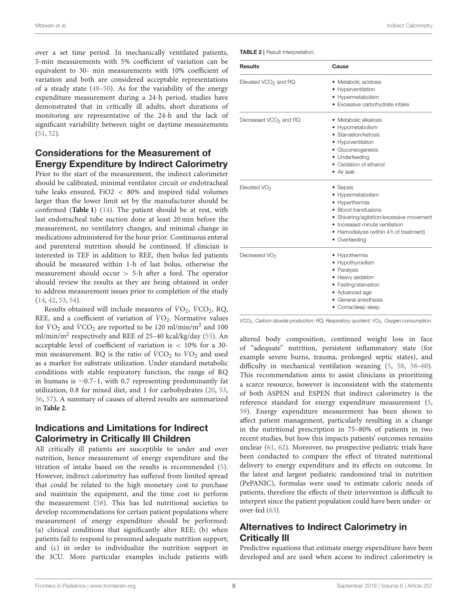Mtaweh et al. Indirect Calorimetry

over a set time period. In mechanically ventilated patients, 5-min measurements with 5% coefficient of variation can be equivalent to 30- min measurements with 10% coefficient of variation and both are considered acceptable representations of a steady state [\(48](#page-6-41)[–50\)](#page-7-0). As for the variability of the energy expenditure measurement during a 24-h period, studies have demonstrated that in critically ill adults, short durations of monitoring are representative of the 24-h and the lack of significant variability between night or daytime measurements [\(51,](#page-7-1) [52\)](#page-7-2).

# Considerations for the Measurement of Energy Expenditure by Indirect Calorimetry

Prior to the start of the measurement, the indirect calorimeter should be calibrated, minimal ventilator circuit or endotracheal tube leaks ensured, FiO2 < 80% and inspired tidal volumes larger than the lower limit set by the manufacturer should be confirmed (**[Table 1](#page-3-0)**) [\(14\)](#page-6-10). The patient should be at rest, with last endotracheal tube suction done at least 20 min before the measurement, no ventilatory changes, and minimal change in medications administered for the hour prior. Continuous enteral and parenteral nutrition should be continued. If clinician is interested in TEF in addition to REE, then bolus fed patients should be measured within 1-h of last bolus, otherwise the measurement should occur > 5-h after a feed. The operator should review the results as they are being obtained in order to address measurement issues prior to completion of the study [\(14,](#page-6-10) [42,](#page-6-36) [53,](#page-7-3) [54\)](#page-7-4).

Results obtained will include measures of  $VO_2$ ,  $VCO_2$ , RQ, REE, and a coefficient of variation of  $\dot{V}O_2$ . Normative values for  $\dot{V}O_2$  and  $\dot{V}CO_2$  are reported to be 120 ml/min/m<sup>2</sup> and 100 ml/min/m<sup>2</sup> respectively and REE of 25-40 kcal/kg/day [\(55\)](#page-7-5). An acceptable level of coefficient of variation is < 10% for a 30 min measurement. RQ is the ratio of  $\dot{V}CO_2$  to  $\dot{V}O_2$  and used as a marker for substrate utilization. Under standard metabolic conditions with stable respiratory function, the range of RQ in humans is ∼0.7–1, with 0.7 representing predominantly fat utilization, 0.8 for mixed diet, and 1 for carbohydrates [\(20,](#page-6-16) [53,](#page-7-3) [56,](#page-7-6) [57\)](#page-7-7). A summary of causes of altered results are summarized in **[Table 2](#page-4-0)**.

# Indications and Limitations for Indirect Calorimetry in Critically Ill Children

All critically ill patients are susceptible to under and over nutrition, hence measurement of energy expenditure and the titration of intake based on the results is recommended [\(5\)](#page-6-3). However, indirect calorimetry has suffered from limited spread that could be related to the high monetary cost to purchase and maintain the equipment, and the time cost to perform the measurement [\(58\)](#page-7-8). This has led nutritional societies to develop recommendations for certain patient populations where measurement of energy expenditure should be performed: (a) clinical conditions that significantly alter REE; (b) when patients fail to respond to presumed adequate nutrition support; and (c) in order to individualize the nutrition support in the ICU. More particular examples include patients with

<span id="page-4-0"></span>TABLE 2 | Result interpretation.

| <b>Results</b>                   | Cause                                    |
|----------------------------------|------------------------------------------|
| Elevated VCO <sub>2</sub> and RQ | • Metabolic acidosis                     |
|                                  | Hyperventilation                         |
|                                  | • Hypermetabolism                        |
|                                  | · Excessive carbohydrate intake          |
| Decreased $VCO2$ and RQ          | $\bullet$ Metabolic alkalosis            |
|                                  | • Hypometabolism                         |
|                                  | • Starvation/ketosis                     |
|                                  | • Hypoventilation                        |
|                                  | • Gluconeogenesis                        |
|                                  | • Underfeeding                           |
|                                  | • Oxidation of ethanol                   |
|                                  | • Air leak                               |
| Elevated VO <sub>2</sub>         | • Sepsis                                 |
|                                  | • Hypermetabolism                        |
|                                  | • Hyperthermia                           |
|                                  | • Blood transfusions                     |
|                                  | • Shivering/agitation/excessive movement |
|                                  | • Increased minute ventilation           |
|                                  | • Hemodialysis (within 4 h of treatment) |
|                                  | • Overfeeding                            |
| Decreased VO <sub>2</sub>        | • Hypothermia                            |
|                                  | • Hypothyroidism                         |
|                                  | • Paralysis                              |
|                                  | • Heavy sedation                         |
|                                  | • Fasting/starvation                     |
|                                  | • Advanced age                           |
|                                  | • General anesthesia                     |
|                                  | • Coma/deep sleep                        |

*VCO*2*, Carbon dioxide production; RQ, Respiratory quotient; VO*2*, Oxygen consumption.*

altered body composition, continued weight loss in face of "adequate" nutrition, persistent inflammatory state (for example severe burns, trauma, prolonged septic states), and difficulty in mechanical ventilation weaning [\(5,](#page-6-3) [58,](#page-7-8) [58–](#page-7-8)[60\)](#page-7-9). This recommendation aims to assist clinicians in prioritizing a scarce resource, however is inconsistent with the statements of both ASPEN and ESPEN that indirect calorimetry is the reference standard for energy expenditure measurement [\(5,](#page-6-3) [59\)](#page-7-10). Energy expenditure measurement has been shown to affect patient management, particularly resulting in a change in the nutritional prescription in 75–80% of patients in two recent studies, but how this impacts patients' outcomes remains unclear [\(61,](#page-7-11) [62\)](#page-7-12). Moreover, no prospective pediatric trials have been conducted to compare the effect of titrated nutritional delivery to energy expenditure and its effects on outcome. In the latest and largest pediatric randomized trial in nutrition (PePANIC), formulas were used to estimate caloric needs of patients, therefore the effects of their intervention is difficult to interpret since the patient population could have been under- or over-fed [\(63\)](#page-7-13).

# Alternatives to Indirect Calorimetry in Critically Ill

Predictive equations that estimate energy expenditure have been developed and are used when access to indirect calorimetry is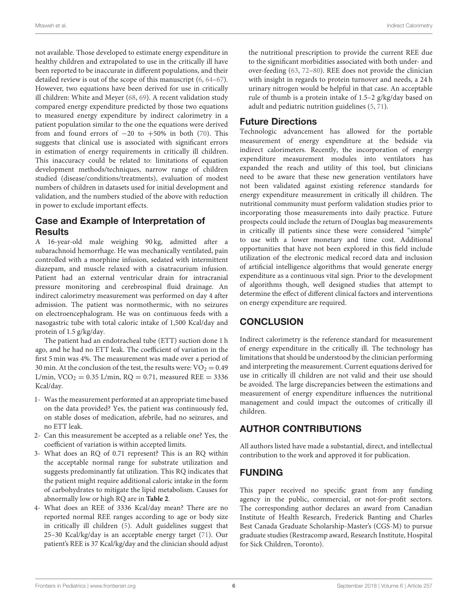not available. Those developed to estimate energy expenditure in healthy children and extrapolated to use in the critically ill have been reported to be inaccurate in different populations, and their detailed review is out of the scope of this manuscript [\(6,](#page-6-42) [64–](#page-7-14)[67\)](#page-7-15). However, two equations have been derived for use in critically ill children: White and Meyer [\(68,](#page-7-16) [69\)](#page-7-17). A recent validation study compared energy expenditure predicted by those two equations to measured energy expenditure by indirect calorimetry in a patient population similar to the one the equations were derived from and found errors of  $-20$  to  $+50\%$  in both [\(70\)](#page-7-18). This suggests that clinical use is associated with significant errors in estimation of energy requirements in critically ill children. This inaccuracy could be related to: limitations of equation development methods/techniques, narrow range of children studied (disease/conditions/treatments), evaluation of modest numbers of children in datasets used for initial development and validation, and the numbers studied of the above with reduction in power to exclude important effects.

# Case and Example of Interpretation of **Results**

A 16-year-old male weighing 90 kg, admitted after a subarachnoid hemorrhage. He was mechanically ventilated, pain controlled with a morphine infusion, sedated with intermittent diazepam, and muscle relaxed with a cisatracurium infusion. Patient had an external ventricular drain for intracranial pressure monitoring and cerebrospinal fluid drainage. An indirect calorimetry measurement was performed on day 4 after admission. The patient was normothermic, with no seizures on electroencephalogram. He was on continuous feeds with a nasogastric tube with total caloric intake of 1,500 Kcal/day and protein of 1.5 g/kg/day.

The patient had an endotracheal tube (ETT) suction done 1 h ago, and he had no ETT leak. The coefficient of variation in the first 5 min was 4%. The measurement was made over a period of 30 min. At the conclusion of the test, the results were:  $VO<sub>2</sub> = 0.49$ L/min,  $VCO_2 = 0.35$  L/min,  $RQ = 0.71$ , measured REE = 3336 Kcal/day.

- 1- Was the measurement performed at an appropriate time based on the data provided? Yes, the patient was continuously fed, on stable doses of medication, afebrile, had no seizures, and no ETT leak.
- 2- Can this measurement be accepted as a reliable one? Yes, the coefficient of variation is within accepted limits.
- 3- What does an RQ of 0.71 represent? This is an RQ within the acceptable normal range for substrate utilization and suggests predominantly fat utilization. This RQ indicates that the patient might require additional caloric intake in the form of carbohydrates to mitigate the lipid metabolism. Causes for abnormally low or high RQ are in **[Table 2](#page-4-0)**.
- 4- What does an REE of 3336 Kcal/day mean? There are no reported normal REE ranges according to age or body size in critically ill children [\(5\)](#page-6-3). Adult guidelines suggest that 25–30 Kcal/kg/day is an acceptable energy target [\(71\)](#page-7-19). Our patient's REE is 37 Kcal/kg/day and the clinician should adjust

the nutritional prescription to provide the current REE due to the significant morbidities associated with both under- and over-feeding [\(63,](#page-7-13) [72](#page-7-20)[–80\)](#page-7-21). REE does not provide the clinician with insight in regards to protein turnover and needs, a 24 h urinary nitrogen would be helpful in that case. An acceptable rule of thumb is a protein intake of 1.5–2 g/kg/day based on adult and pediatric nutrition guidelines [\(5,](#page-6-3) [71\)](#page-7-19).

# Future Directions

Technologic advancement has allowed for the portable measurement of energy expenditure at the bedside via indirect calorimeters. Recently, the incorporation of energy expenditure measurement modules into ventilators has expanded the reach and utility of this tool, but clinicians need to be aware that these new generation ventilators have not been validated against existing reference standards for energy expenditure measurement in critically ill children. The nutritional community must perform validation studies prior to incorporating those measurements into daily practice. Future prospects could include the return of Douglas bag measurements in critically ill patients since these were considered "simple" to use with a lower monetary and time cost. Additional opportunities that have not been explored in this field include utilization of the electronic medical record data and inclusion of artificial intelligence algorithms that would generate energy expenditure as a continuous vital sign. Prior to the development of algorithms though, well designed studies that attempt to determine the effect of different clinical factors and interventions on energy expenditure are required.

# **CONCLUSION**

Indirect calorimetry is the reference standard for measurement of energy expenditure in the critically ill. The technology has limitations that should be understood by the clinician performing and interpreting the measurement. Current equations derived for use in critically ill children are not valid and their use should be avoided. The large discrepancies between the estimations and measurement of energy expenditure influences the nutritional management and could impact the outcomes of critically ill children.

# AUTHOR CONTRIBUTIONS

All authors listed have made a substantial, direct, and intellectual contribution to the work and approved it for publication.

# FUNDING

This paper received no specific grant from any funding agency in the public, commercial, or not-for-profit sectors. The corresponding author declares an award from Canadian Institute of Health Research, Frederick Banting and Charles Best Canada Graduate Scholarship-Master's (CGS-M) to pursue graduate studies (Restracomp award, Research Institute, Hospital for Sick Children, Toronto).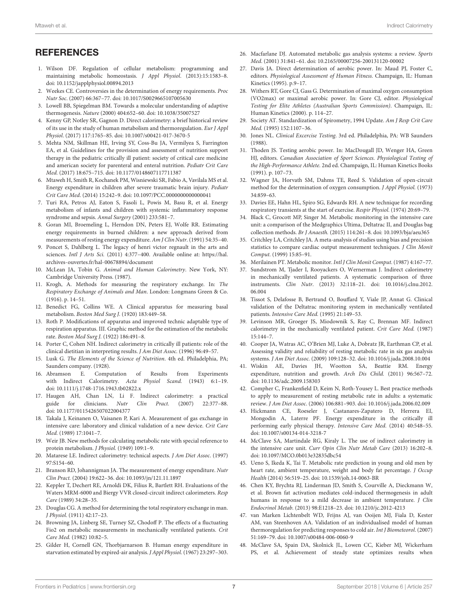## **REFERENCES**

- <span id="page-6-0"></span>1. Wilson DF. Regulation of cellular metabolism: programming and maintaining metabolic homeostasis. J Appl Physiol. (2013):15:1583–8. doi: [10.1152/japplphysiol.00894.2013](https://doi.org/10.1152/japplphysiol.00894.2013)
- <span id="page-6-35"></span>2. Weekes CE. Controversies in the determination of energy requirements. Proc Nutr Soc. (2007) 66:367–77. doi: [10.1017/S0029665107005630](https://doi.org/10.1017/S0029665107005630)
- <span id="page-6-1"></span>3. Lowell BB, Spiegelman BM. Towards a molecular understanding of adaptive thermogenesis. Nature (2000) 404:652–60. doi: [10.1038/35007527](https://doi.org/10.1038/35007527)
- <span id="page-6-2"></span>4. Kenny GP, Notley SR, Gagnon D. Direct calorimetry: a brief historical review of its use in the study of human metabolism and thermoregulation. Eur J Appl Physiol. (2017) 117:1765–85. doi: [10.1007/s00421-017-3670-5](https://doi.org/10.1007/s00421-017-3670-5)
- <span id="page-6-3"></span>5. Mehta NM, Skillman HE, Irving SY, Coss-Bu JA, Vermilyea S, Farrington EA, et al. Guidelines for the provision and assessment of nutrition support therapy in the pediatric critically ill patient: society of critical care medicine and american society for parenteral and enteral nutrition. Pediatr Crit Care Med. (2017) 18:675–715. doi: [10.1177/0148607117711387](https://doi.org/10.1177/0148607117711387)
- <span id="page-6-42"></span>6. Mtaweh H, Smith R, Kochanek PM, Wisniewski SR, Fabio A, Vavilala MS et al. Energy expenditure in children after severe traumatic brain injury. Pediatr Crit Care Med. (2014) 15:242–9. doi: [10.1097/PCC.0000000000000041](https://doi.org/10.1097/PCC.0000000000000041)
- 7. Turi RA, Petros AJ, Eaton S, Fasoli L, Powis M, Basu R, et al. Energy metabolism of infants and children with systemic inflammatory response syndrome and sepsis. Annal Surgery (2001) 233:581–7.
- <span id="page-6-4"></span>8. Goran MI, Broemeling L, Herndon DN, Peters EJ, Wolfe RR. Estimating energy requirements in burned children: a new approach derived from measurements of resting energy expenditure. Am J Clin Nutr. (1991) 54:35–40.
- <span id="page-6-5"></span>9. Poncet S, Dahlberg L. The legacy of henri victor regnault in the arts and sciences. Intl J Arts Sci. (2011) 4:377–400. Available online at: [https://hal.](https://hal.archives-ouvertes.fr/hal-00678894/document) [archives-ouvertes.fr/hal-00678894/document](https://hal.archives-ouvertes.fr/hal-00678894/document)
- <span id="page-6-6"></span>10. McLean JA, Tobin G. Animal and Human Calorimetry. New York, NY: Cambridge University Press. (1987).
- <span id="page-6-7"></span>11. Krogh, A. Methods for measuring the respiratory exchange. In: The Respiratory Exchange of Animals and Man. London: Longmans Green & Co. (1916). p. 14–51.
- <span id="page-6-8"></span>12. Benedict FG, Collins WE. A Clinical apparatus for measuring basal metabolism. Boston Med Surg J. (1920) 183:449–58.
- <span id="page-6-9"></span>13. Roth P. Modifications of apparatus and improved technic adaptable type of respiration apparatus. III. Graphic method for the estimation of the metabolic rate. Boston Med Surg J. (1922) 186:491–8.
- <span id="page-6-10"></span>14. Porter C, Cohen NH. Indirect calorimetry in critically ill patients: role of the clinical dietitian in interpreting results. J Am Diet Assoc. (1996) 96:49–57.
- <span id="page-6-11"></span>15. Lusk G. The Elements of the Science of Nutrition. 4th ed. Philadelphia, PA; Saunders company. (1928).
- <span id="page-6-12"></span>16. Abramson E. Computation of Results from Experiments with Indirect Calorimetry. Acta Physiol Scand. (1943) 6:1-19. doi: [10.1111/j.1748-1716.1943.tb02822.x](https://doi.org/10.1111/j.1748-1716.1943.tb02822.x)
- <span id="page-6-13"></span>17. Haugen AH, Chan LN, Li F. Indirect calorimetry: a practical guide for clinicians. Nutr Clin Pract. (2007) 22:377–88. doi: [10.1177/0115426507022004377](https://doi.org/10.1177/0115426507022004377)
- <span id="page-6-14"></span>18. Takala J, Keinanen O, Vaisanen P, Kari A. Measurement of gas exchange in intensive care: laboratory and clinical validation of a new device. Crit Care Med. (1989) 17:1041–7.
- <span id="page-6-15"></span>19. Weir JB. New methods for calculating metabolic rate with special reference to protein metabolism. J Physiol. (1949) 109:1–9.
- <span id="page-6-16"></span>20. Matarese LE. Indirect calorimetry: technical aspects. J Am Diet Assoc. (1997) 97:S154–60.
- <span id="page-6-17"></span>21. Branson RD, Johannigman JA. The measurement of energy expenditure. Nutr Clin Pract. (2004) 19:622–36. doi: [10.1093/jn/121.11.1897](https://doi.org/10.1093/jn/121.11.1897)
- <span id="page-6-18"></span>22. Keppler T, Dechert RE, Arnoldi DK, Filius R, Bartlett RH. Evaluations of the Waters MRM-6000 and Biergy VVR closed-circuit indirect calorimeters. Resp Care (1989) 34:28–35.
- <span id="page-6-19"></span>23. Douglas CG. A method for determining the total respiratory exchange in man. J Physiol. (1911) 42:17–23.
- <span id="page-6-20"></span>24. Browning JA, Linberg SE, Turney SZ, Chodoff P. The effects of a fluctuating Fio2 on metabolic measurements in mechanically ventilated patients. Crit Care Med. (1982) 10:82–5.
- <span id="page-6-21"></span>25. Gilder H, Cornell GN, Thorbjarnarson B. Human energy expenditure in starvation estimated by expired-air analysis. J Appl Physiol. (1967) 23:297–303.
- <span id="page-6-22"></span>26. Macfarlane DJ. Automated metabolic gas analysis systems: a review. Sports Med. (2001) 31:841–61. doi: [10.2165/00007256-200131120-00002](https://doi.org/10.2165/00007256-200131120-00002)
- <span id="page-6-23"></span>27. Davis JA. Direct determination of aerobic power. In: Maud PJ, Foster C, editors. Physiological Assessment of Human Fitness. Champaign, IL: Human Kinetics (1995). p.9–17.
- 28. Withers RT, Gore CJ, Gass G. Determination of maximal oxygen consumption (VO2max) or maximal aerobic power. In: Gore CJ, editor. Physiological Testing for Elite Athletes (Australian Sports Commission). Champaign, IL: Human Kinetics (2000). p. 114–27.
- 29. Society AT. Standardization of Spirometry, 1994 Update. Am J Resp Crit Care Med. (1995) 152:1107–36.
- 30. Jones NL. Clinical Excercise Testing. 3rd ed. Philadelphia, PA: WB Saunders (1988).
- <span id="page-6-24"></span>31. Thoden JS. Testing aerobic power. In: MacDougall JD, Wenger HA, Green HJ, editors. Canadian Association of Sport Sciences. Physiological Testing of the High-Performance Athlete. 2nd ed. Champaign, IL: Human Kinetics Books (1991). p. 107–73.
- <span id="page-6-25"></span>32. Wagner JA, Horvath SM, Dahms TE, Reed S. Validation of open-circuit method for the determination of oxygen consumption. J Appl Physiol. (1973) 34:859–63.
- <span id="page-6-26"></span>33. Davies EE, Hahn HL, Spiro SG, Edwards RH. A new technique for recording respiratory transients at the start of exercise. Respir Physiol. (1974) 20:69–79.
- <span id="page-6-27"></span>34. Black C, Grocott MP, Singer M. Metabolic monitoring in the intensive care unit: a comparison of the Medgraphics Ultima, Deltatrac II, and Douglas bag collection methods. Br J Anaesth. (2015) 114:261–8. doi: [10.1093/bja/aeu365](https://doi.org/10.1093/bja/aeu365)
- <span id="page-6-28"></span>35. Critchley LA, Critchley JA. A meta-analysis of studies using bias and precision statistics to compare cardiac output measurement techniques. J Clin Monit Comput. (1999) 15:85–91.
- <span id="page-6-29"></span>36. Merilainen PT. Metabolic monitor. Intl J Clin Monit Comput. (1987) 4:167–77.
- <span id="page-6-30"></span>37. Sundstrom M, Tjader I, Rooyackers O, Wernerman J. Indirect calorimetry in mechanically ventilated patients. A systematic comparison of three instruments. Clin Nutr[. \(2013\) 32:118–21. doi: 10.1016/j.clnu.2012.](https://doi.org/10.1016/j.clnu.2012.06.004) 06.004
- <span id="page-6-31"></span>38. Tissot S, Delafosse B, Bertrand O, Bouffard Y, Viale JP, Annat G. Clinical validation of the Deltatrac monitoring system in mechanically ventilated patients. Intensive Care Med. (1995) 21:149–53.
- <span id="page-6-32"></span>39. Levinson MR, Groeger JS, Miodownik S, Ray C, Brennan MF. Indirect calorimetry in the mechanically ventilated patient. Crit Care Med. (1987) 15:144–7.
- <span id="page-6-33"></span>40. Cooper JA, Watras AC, O'Brien MJ, Luke A, Dobratz JR, Earthman CP, et al. Assessing validity and reliability of resting metabolic rate in six gas analysis systems. J Am Diet Assoc. (2009) 109:128–32. doi: [10.1016/j.jada.2008.10.004](https://doi.org/10.1016/j.jada.2008.10.004)
- <span id="page-6-34"></span>41. Wiskin AE, Davies JH, Wootton SA, Beattie RM. Energy expenditure, nutrition and growth. Arch Dis Child. (2011) 96:567–72. doi: [10.1136/adc.2009.158303](https://doi.org/10.1136/adc.2009.158303)
- <span id="page-6-36"></span>42. Compher C, Frankenfield D, Keim N, Roth-Yousey L. Best practice methods to apply to measurement of resting metabolic rate in adults: a systematic review. J Am Diet Assoc. (2006) 106:881–903. doi: [10.1016/j.jada.2006.02.009](https://doi.org/10.1016/j.jada.2006.02.009)
- <span id="page-6-37"></span>43. Hickmann CE, Roeseler J, Castanares-Zapatero D, Herrera EI, Mongodin A, Laterre PF. Energy expenditure in the critically ill performing early physical therapy. Intensive Care Med. (2014) 40:548–55. doi: [10.1007/s00134-014-3218-7](https://doi.org/10.1007/s00134-014-3218-7)
- <span id="page-6-38"></span>44. McClave SA, Martindale RG, Kiraly L. The use of indirect calorimetry in the intensive care unit. Curr Opin Clin Nutr Metab Care (2013) 16:202–8. doi: [10.1097/MCO.0b013e32835dbc54](https://doi.org/10.1097/MCO.0b013e32835dbc54)
- <span id="page-6-39"></span>45. Ueno S, Ikeda K, Tai T. Metabolic rate prediction in young and old men by heart rate, ambient temperature, weight and body fat percentage. J Occup Health (2014) 56:519–25. doi: [10.1539/joh.14-0063-BR](https://doi.org/10.1539/joh.14-0063-BR)
- 46. Chen KY, Brychta RJ, Linderman JD, Smith S, Courville A, Dieckmann W, et al. Brown fat activation mediates cold-induced thermogenesis in adult humans in response to a mild decrease in ambient temperature. J Clin Endocrinol Metab. (2013) 98:E1218–23. doi: [10.1210/jc.2012-4213](https://doi.org/10.1210/jc.2012-4213)
- <span id="page-6-40"></span>47. van Marken Lichtenbelt WD, Frijns AJ, van Ooijen MJ, Fiala D, Kester AM, van Steenhoven AA. Validation of an individualised model of human thermoregulation for predicting responses to cold air. Int J Biometeorol. (2007) 51:169–79. doi: [10.1007/s00484-006-0060-9](https://doi.org/10.1007/s00484-006-0060-9)
- <span id="page-6-41"></span>48. McClave SA, Spain DA, Skolnick JL, Lowen CC, Kieber MJ, Wickerham PS, et al. Achievement of steady state optimizes results when